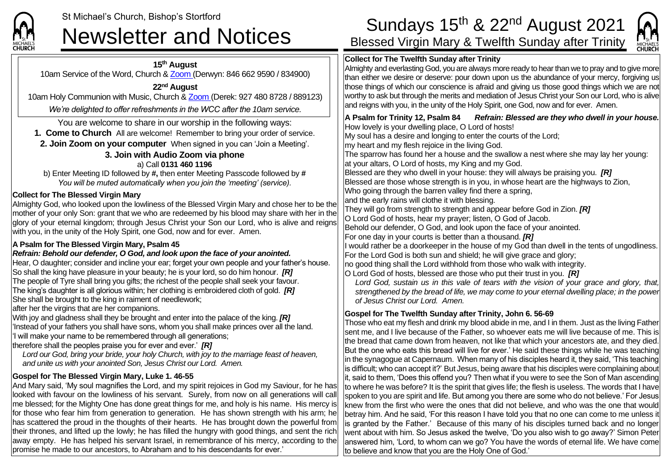

**15th August** 10am Service of the Word, Church & [Zoom](https://zoom.us/) (Derwyn: 846 662 9590 / 834900)

### **22nd August**

10am Holy Communion with Music, Church & [Zoom](https://zoom.us/) (Derek: 927 480 8728 / 889123)

*We're delighted to offer refreshments in the WCC after the 10am service.*

You are welcome to share in our worship in the following ways:

**1. Come to Church** All are welcome! Remember to bring your order of service.

**2. Join Zoom on your computer** When signed in you can 'Join a Meeting'.

### **3. Join with Audio Zoom via phone** a) Call **0131 460 1196**

b) Enter Meeting ID followed by **#,** then enter Meeting Passcode followed by **#** *You will be muted automatically when you join the 'meeting' (service).*

## **Collect for The Blessed Virgin Mary**

Almighty God, who looked upon the lowliness of the Blessed Virgin Mary and chose her to be the mother of your only Son: grant that we who are redeemed by his blood may share with her in the glory of your eternal kingdom; through Jesus Christ your Son our Lord, who is alive and reigns with you, in the unity of the Holy Spirit, one God, now and for ever. Amen.

# **A Psalm for The Blessed Virgin Mary, Psalm 45**

## *Refrain: Behold our defender, O God, and look upon the face of your anointed.*

Hear, O daughter; consider and incline your ear; forget your own people and your father's house. So shall the king have pleasure in your beauty; he is your lord, so do him honour. *[R]* The people of Tyre shall bring you gifts; the richest of the people shall seek your favour. The king's daughter is all glorious within; her clothing is embroidered cloth of gold. *[R]* She shall be brought to the king in raiment of needlework;

after her the virgins that are her companions.

With joy and gladness shall they be brought and enter into the palace of the king. *[R]* 'Instead of your fathers you shall have sons, whom you shall make princes over all the land. 'I will make your name to be remembered through all generations;

therefore shall the peoples praise you for ever and ever.' *[R]*

*Lord our God, bring your bride, your holy Church, with joy to the marriage feast of heaven, and unite us with your anointed Son, Jesus Christ our Lord. Amen.*

# **Gospel for The Blessed Virgin Mary, Luke 1. 46-55**

And Mary said, 'My soul magnifies the Lord, and my spirit rejoices in God my Saviour, for he has looked with favour on the lowliness of his servant. Surely, from now on all generations will call me blessed; for the Mighty One has done great things for me, and holy is his name. His mercy is for those who fear him from generation to generation. He has shown strength with his arm; he has scattered the proud in the thoughts of their hearts. He has brought down the powerful from their thrones, and lifted up the lowly; he has filled the hungry with good things, and sent the rich away empty. He has helped his servant Israel, in remembrance of his mercy, according to the promise he made to our ancestors, to Abraham and to his descendants for ever.'

# St Michael's Church, Bishop's Stortford **Sundays 15<sup>th</sup> & 22<sup>nd</sup> August 2021**<br>Sundays 15<sup>th</sup> & 22<sup>nd</sup> August 2021<br>Blessed Virgin Mary & Twelfth Sunday after Trinity

MICHAELS

# **Collect for The Twelfth Sunday after Trinity**



to where he was before? It is the spirit that gives life; the flesh is useless. The words that I have spoken to you are spirit and life. But among you there are some who do not believe.' For Jesus knew from the first who were the ones that did not believe, and who was the one that would betray him. And he said, 'For this reason I have told you that no one can come to me unless it is granted by the Father.' Because of this many of his disciples turned back and no longer went about with him. So Jesus asked the twelve, 'Do you also wish to go away?' Simon Peter answered him, 'Lord, to whom can we go? You have the words of eternal life. We have come to believe and know that you are the Holy One of God.'